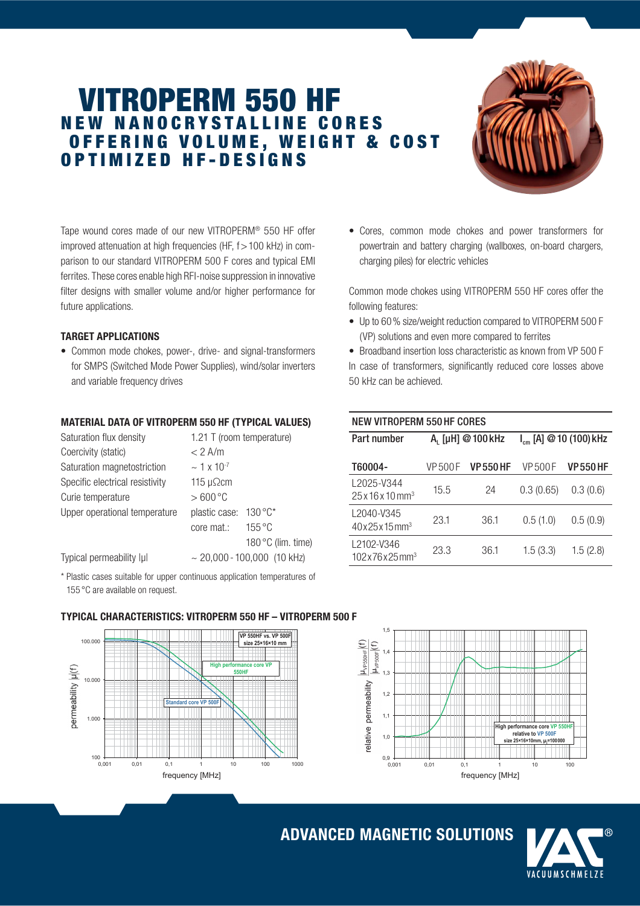# VITROPERM 550 HF N E W N A N O C R Y S T A L L I N E C O R E S OFFERING VOLUME, WEIGHT & COST O P T I M I Z E D H F - D E S I G N S



Tape wound cores made of our new VITROPERM® 550 HF offer improved attenuation at high frequencies (HF,  $f > 100$  kHz) in comparison to our standard VITROPERM 500 F cores and typical EMI ferrites. These cores enable high RFI-noise suppression in innovative filter designs with smaller volume and/or higher performance for future applications.

### TARGET APPLICATIONS

 $100 - 100$ <br>0,001

1.000

10.000

permeability  $|\mu(t)$ 

100.000

• Common mode chokes, power-, drive- and signal-transformers for SMPS (Switched Mode Power Supplies), wind/solar inverters and variable frequency drives

## MATERIAL DATA OF VITROPERM 550 HF (TYPICAL VALUES)

| Saturation flux density         | 1.21 T (room temperature)        |  |  |
|---------------------------------|----------------------------------|--|--|
| Coercivity (static)             | $< 2$ A/m                        |  |  |
| Saturation magnetostriction     | $\sim$ 1 x 10 <sup>-7</sup>      |  |  |
| Specific electrical resistivity | 115 $\mu\Omega$ cm               |  |  |
| Curie temperature               | $>600^{\circ}$ C                 |  |  |
| Upper operational temperature   | $130 °C^*$<br>plastic case:      |  |  |
|                                 | $155^{\circ}$ C<br>core mat.:    |  |  |
|                                 | 180 °C (lim. time)               |  |  |
| Typical permeability lul        | $\sim$ 20,000 - 100,000 (10 kHz) |  |  |

\* Plastic cases suitable for upper continuous application temperatures of 155 °C are available on request.

• Cores, common mode chokes and power transformers for powertrain and battery charging (wallboxes, on-board chargers, charging piles) for electric vehicles

Common mode chokes using VITROPERM 550 HF cores offer the following features:

• Up to 60 % size/weight reduction compared to VITROPERM 500 F (VP) solutions and even more compared to ferrites

• Broadband insertion loss characteristic as known from VP 500 F In case of transformers, significantly reduced core losses above 50 kHz can be achieved.

# NEW VITROPERM 550 HF CORES

| Part number                               | A <sub>1</sub> [µH] @ 100 kHz |                | $I_{cm}$ [A] @ 10 (100) kHz |                |
|-------------------------------------------|-------------------------------|----------------|-----------------------------|----------------|
| T60004-                                   | VP 500 F                      | <b>VP550HF</b> | <b>VP500F</b>               | <b>VP550HF</b> |
| L2025-V344<br>$25x16x10$ mm <sup>3</sup>  | 15.5                          | 24             | 0.3(0.65)                   | 0.3(0.6)       |
| L2040-V345<br>40x25x15mm <sup>3</sup>     | 23.1                          | 36.1           | 0.5(1.0)                    | 0.5(0.9)       |
| L2102-V346<br>$102x76x25$ mm <sup>3</sup> | 23.3                          | 36.1           | 1.5(3.3)                    | 1.5(2.8)       |



### TYPICAL CHARACTERISTICS: VITROPERM 550 HF – VITROPERM 500 F

**VP 550HF vs. VP 500F size 251610 mm** 

**High performance core VP 550HF** 

0,001 0,01 0,1 1 10 100 1000 frequency [MHz]

**Standard core VP 500F** 

ADVANCED MAGNETIC SOLUTIONS